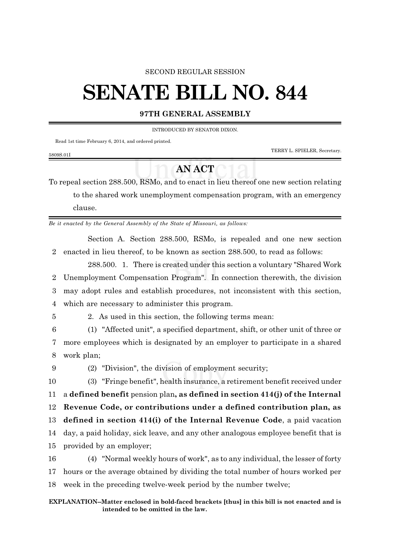#### SECOND REGULAR SESSION

# **SENATE BILL NO. 844**

### **97TH GENERAL ASSEMBLY**

INTRODUCED BY SENATOR DIXON.

Read 1st time February 6, 2014, and ordered printed.

TERRY L. SPIELER, Secretary.

#### 5809S.01I

## **AN ACT**

To repeal section 288.500, RSMo, and to enact in lieu thereof one new section relating to the shared work unemployment compensation program, with an emergency clause.

*Be it enacted by the General Assembly of the State of Missouri, as follows:*

Section A. Section 288.500, RSMo, is repealed and one new section 2 enacted in lieu thereof, to be known as section 288.500, to read as follows:

288.500. 1. There is created under this section a voluntary "Shared Work Unemployment Compensation Program". In connection therewith, the division may adopt rules and establish procedures, not inconsistent with this section, which are necessary to administer this program.

5 2. As used in this section, the following terms mean:

6 (1) "Affected unit", a specified department, shift, or other unit of three or 7 more employees which is designated by an employer to participate in a shared 8 work plan;

9 (2) "Division", the division of employment security;

 (3) "Fringe benefit", health insurance, a retirement benefit received under a **defined benefit** pension plan**, as defined in section 414(j) of the Internal Revenue Code, or contributions under a defined contribution plan, as defined in section 414(i) of the Internal Revenue Code**, a paid vacation day, a paid holiday, sick leave, and any other analogous employee benefit that is provided by an employer; (4) "Normal weekly hours of work", as to any individual, the lesser of forty

17 hours or the average obtained by dividing the total number of hours worked per

18 week in the preceding twelve-week period by the number twelve;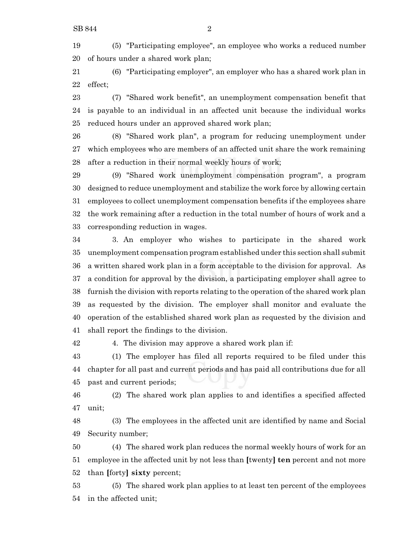(5) "Participating employee", an employee who works a reduced number of hours under a shared work plan;

 (6) "Participating employer", an employer who has a shared work plan in effect;

 (7) "Shared work benefit", an unemployment compensation benefit that is payable to an individual in an affected unit because the individual works reduced hours under an approved shared work plan;

 (8) "Shared work plan", a program for reducing unemployment under which employees who are members of an affected unit share the work remaining after a reduction in their normal weekly hours of work;

 (9) "Shared work unemployment compensation program", a program designed to reduce unemployment and stabilize the work force by allowing certain employees to collect unemployment compensation benefits if the employees share the work remaining after a reduction in the total number of hours of work and a corresponding reduction in wages.

 3. An employer who wishes to participate in the shared work unemployment compensation program established under this section shall submit a written shared work plan in a form acceptable to the division for approval. As a condition for approval by the division, a participating employer shall agree to furnish the division with reports relating to the operation of the shared work plan as requested by the division. The employer shall monitor and evaluate the operation of the established shared work plan as requested by the division and shall report the findings to the division.

4. The division may approve a shared work plan if:

 (1) The employer has filed all reports required to be filed under this chapter for all past and current periods and has paid all contributions due for all past and current periods;

 (2) The shared work plan applies to and identifies a specified affected unit;

 (3) The employees in the affected unit are identified by name and Social Security number;

 (4) The shared work plan reduces the normal weekly hours of work for an employee in the affected unit by not less than **[**twenty**] ten** percent and not more than **[**forty**] sixty** percent;

 (5) The shared work plan applies to at least ten percent of the employees in the affected unit;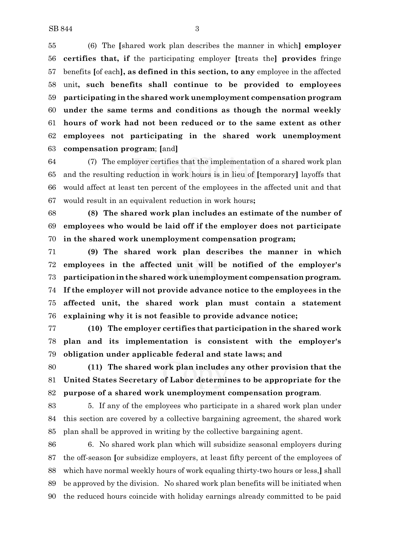(6) The **[**shared work plan describes the manner in which**] employer certifies that, if** the participating employer **[**treats the**] provides** fringe benefits **[**of each**], as defined in this section, to any** employee in the affected unit**, such benefits shall continue to be provided to employees participating in the shared work unemployment compensation program under the same terms and conditions as though the normal weekly hours of work had not been reduced or to the same extent as other employees not participating in the shared work unemployment compensation program**; **[**and**]**

 (7) The employer certifies that the implementation of a shared work plan and the resulting reduction in work hours is in lieu of **[**temporary**]** layoffs that would affect at least ten percent of the employees in the affected unit and that would result in an equivalent reduction in work hours**;**

 **(8) The shared work plan includes an estimate of the number of employees who would be laid off if the employer does not participate in the shared work unemployment compensation program;**

 **(9) The shared work plan describes the manner in which employees in the affected unit will be notified of the employer's participationin the shared work unemployment compensation program. If the employer will not provide advance notice to the employees in the affected unit, the shared work plan must contain a statement explaining why it is not feasible to provide advance notice;**

 **(10) The employer certifies that participation in the shared work plan and its implementation is consistent with the employer's obligation under applicable federal and state laws; and**

 **(11) The shared work plan includes any other provision that the United States Secretary of Labor determines to be appropriate for the purpose of a shared work unemployment compensation program**.

 5. If any of the employees who participate in a shared work plan under this section are covered by a collective bargaining agreement, the shared work plan shall be approved in writing by the collective bargaining agent.

 6. No shared work plan which will subsidize seasonal employers during the off-season **[**or subsidize employers, at least fifty percent of the employees of which have normal weekly hours of work equaling thirty-two hours or less,**]** shall be approved by the division. No shared work plan benefits will be initiated when the reduced hours coincide with holiday earnings already committed to be paid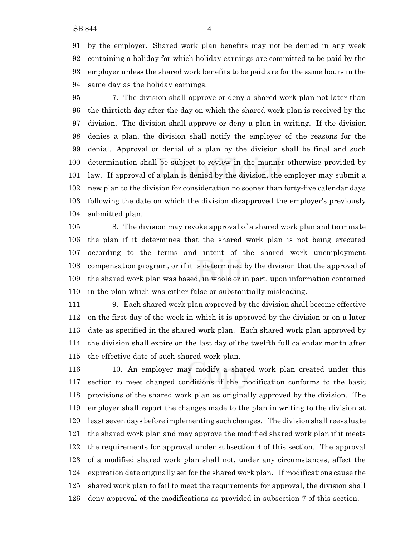by the employer. Shared work plan benefits may not be denied in any week containing a holiday for which holiday earnings are committed to be paid by the employer unless the shared work benefits to be paid are for the same hours in the same day as the holiday earnings.

 7. The division shall approve or deny a shared work plan not later than the thirtieth day after the day on which the shared work plan is received by the division. The division shall approve or deny a plan in writing. If the division denies a plan, the division shall notify the employer of the reasons for the denial. Approval or denial of a plan by the division shall be final and such determination shall be subject to review in the manner otherwise provided by law. If approval of a plan is denied by the division, the employer may submit a new plan to the division for consideration no sooner than forty-five calendar days following the date on which the division disapproved the employer's previously submitted plan.

 8. The division may revoke approval of a shared work plan and terminate the plan if it determines that the shared work plan is not being executed according to the terms and intent of the shared work unemployment compensation program, or if it is determined by the division that the approval of the shared work plan was based, in whole or in part, upon information contained in the plan which was either false or substantially misleading.

 9. Each shared work plan approved by the division shall become effective on the first day of the week in which it is approved by the division or on a later date as specified in the shared work plan. Each shared work plan approved by the division shall expire on the last day of the twelfth full calendar month after the effective date of such shared work plan.

 10. An employer may modify a shared work plan created under this section to meet changed conditions if the modification conforms to the basic provisions of the shared work plan as originally approved by the division. The employer shall report the changes made to the plan in writing to the division at least seven days before implementing such changes. The division shall reevaluate the shared work plan and may approve the modified shared work plan if it meets the requirements for approval under subsection 4 of this section. The approval of a modified shared work plan shall not, under any circumstances, affect the expiration date originally set for the shared work plan. If modifications cause the shared work plan to fail to meet the requirements for approval, the division shall deny approval of the modifications as provided in subsection 7 of this section.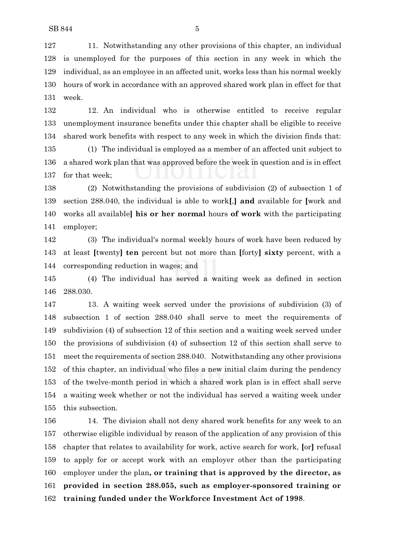11. Notwithstanding any other provisions of this chapter, an individual is unemployed for the purposes of this section in any week in which the individual, as an employee in an affected unit, works less than his normal weekly hours of work in accordance with an approved shared work plan in effect for that week.

 12. An individual who is otherwise entitled to receive regular unemployment insurance benefits under this chapter shall be eligible to receive shared work benefits with respect to any week in which the division finds that:

 (1) The individual is employed as a member of an affected unit subject to a shared work plan that was approved before the week in question and is in effect for that week;

 (2) Notwithstanding the provisions of subdivision (2) of subsection 1 of section 288.040, the individual is able to work**[**,**] and** available for **[**work and works all available**] his or her normal** hours **of work** with the participating employer;

 (3) The individual's normal weekly hours of work have been reduced by at least **[**twenty**] ten** percent but not more than **[**forty**] sixty** percent, with a corresponding reduction in wages; and

 (4) The individual has served a waiting week as defined in section 288.030.

 13. A waiting week served under the provisions of subdivision (3) of subsection 1 of section 288.040 shall serve to meet the requirements of subdivision (4) of subsection 12 of this section and a waiting week served under the provisions of subdivision (4) of subsection 12 of this section shall serve to meet the requirements of section 288.040. Notwithstanding any other provisions of this chapter, an individual who files a new initial claim during the pendency of the twelve-month period in which a shared work plan is in effect shall serve a waiting week whether or not the individual has served a waiting week under this subsection.

 14. The division shall not deny shared work benefits for any week to an otherwise eligible individual by reason of the application of any provision of this chapter that relates to availability for work, active search for work, **[**or**]** refusal to apply for or accept work with an employer other than the participating employer under the plan**, or training that is approved by the director, as provided in section 288.055, such as employer-sponsored training or training funded under the Workforce Investment Act of 1998**.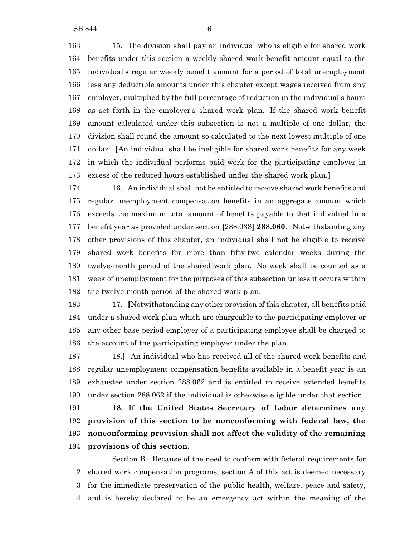15. The division shall pay an individual who is eligible for shared work benefits under this section a weekly shared work benefit amount equal to the individual's regular weekly benefit amount for a period of total unemployment less any deductible amounts under this chapter except wages received from any employer, multiplied by the full percentage of reduction in the individual's hours as set forth in the employer's shared work plan. If the shared work benefit amount calculated under this subsection is not a multiple of one dollar, the division shall round the amount so calculated to the next lowest multiple of one dollar. **[**An individual shall be ineligible for shared work benefits for any week in which the individual performs paid work for the participating employer in excess of the reduced hours established under the shared work plan.**]**

 16. An individual shall not be entitled to receive shared work benefits and regular unemployment compensation benefits in an aggregate amount which exceeds the maximum total amount of benefits payable to that individual in a benefit year as provided under section **[**288.038**] 288.060**. Notwithstanding any other provisions of this chapter, an individual shall not be eligible to receive shared work benefits for more than fifty-two calendar weeks during the twelve-month period of the shared work plan. No week shall be counted as a week of unemployment for the purposes of this subsection unless it occurs within the twelve-month period of the shared work plan.

 17. **[**Notwithstanding any other provision of this chapter, all benefits paid under a shared work plan which are chargeable to the participating employer or any other base period employer of a participating employee shall be charged to the account of the participating employer under the plan.

 18.**]** An individual who has received all of the shared work benefits and regular unemployment compensation benefits available in a benefit year is an exhaustee under section 288.062 and is entitled to receive extended benefits under section 288.062 if the individual is otherwise eligible under that section.

 **18. If the United States Secretary of Labor determines any provision of this section to be nonconforming with federal law, the nonconforming provision shall not affect the validity of the remaining provisions of this section.**

Section B. Because of the need to conform with federal requirements for shared work compensation programs, section A of this act is deemed necessary for the immediate preservation of the public health, welfare, peace and safety, and is hereby declared to be an emergency act within the meaning of the